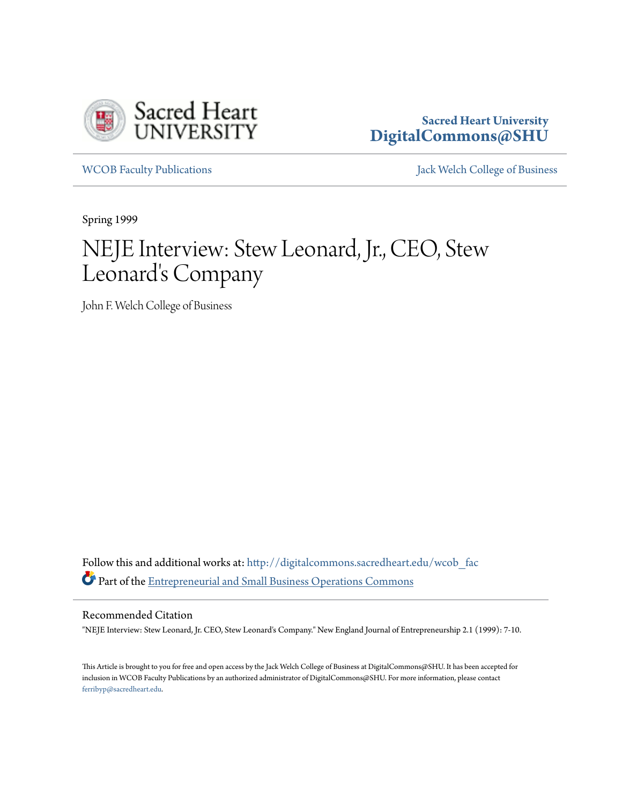

# **Sacred Heart University [DigitalCommons@SHU](http://digitalcommons.sacredheart.edu?utm_source=digitalcommons.sacredheart.edu%2Fwcob_fac%2F248&utm_medium=PDF&utm_campaign=PDFCoverPages)**

[WCOB Faculty Publications](http://digitalcommons.sacredheart.edu/wcob_fac?utm_source=digitalcommons.sacredheart.edu%2Fwcob_fac%2F248&utm_medium=PDF&utm_campaign=PDFCoverPages) **MECOB** Faculty Publications **Accord Publications** [Jack Welch College of Business](http://digitalcommons.sacredheart.edu/wcob?utm_source=digitalcommons.sacredheart.edu%2Fwcob_fac%2F248&utm_medium=PDF&utm_campaign=PDFCoverPages)

Spring 1999

# NEJE Interview: Stew Leonard, Jr., CEO, Stew Leonard's Company

John F. Welch College of Business

Follow this and additional works at: [http://digitalcommons.sacredheart.edu/wcob\\_fac](http://digitalcommons.sacredheart.edu/wcob_fac?utm_source=digitalcommons.sacredheart.edu%2Fwcob_fac%2F248&utm_medium=PDF&utm_campaign=PDFCoverPages) Part of the [Entrepreneurial and Small Business Operations Commons](http://network.bepress.com/hgg/discipline/630?utm_source=digitalcommons.sacredheart.edu%2Fwcob_fac%2F248&utm_medium=PDF&utm_campaign=PDFCoverPages)

#### Recommended Citation

"NEJE Interview: Stew Leonard, Jr. CEO, Stew Leonard's Company." New England Journal of Entrepreneurship 2.1 (1999): 7-10.

This Article is brought to you for free and open access by the Jack Welch College of Business at DigitalCommons@SHU. It has been accepted for inclusion in WCOB Faculty Publications by an authorized administrator of DigitalCommons@SHU. For more information, please contact [ferribyp@sacredheart.edu](mailto:ferribyp@sacredheart.edu).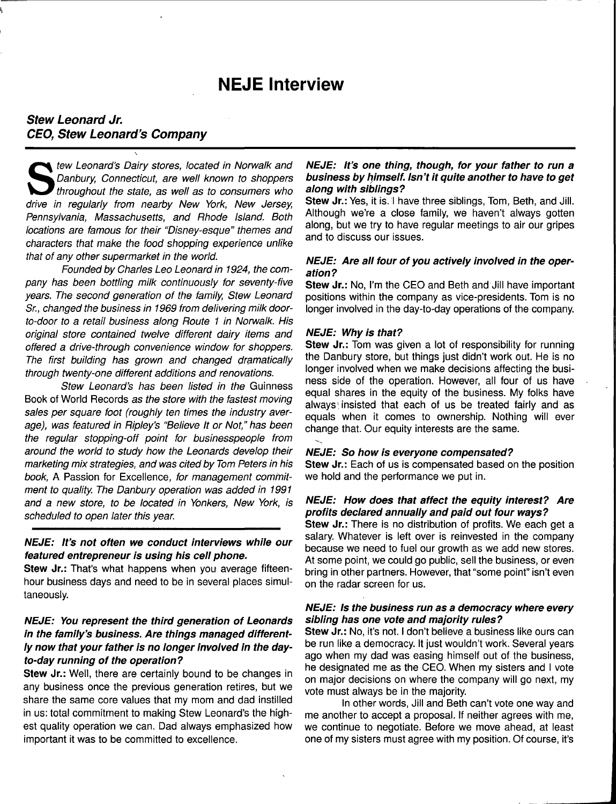# **NEJE** Interview

# **Stew Leonard Jr. CEO, Stew Leonard's Company**

S tew Leonard's Dairy stores, located in Norwalk and Danbury, Connecticut, are well known to shoppers I throughout the state, as well as to consumers who drive in regularly from nearby New York, New Jersey, Pennsylvania, Massachusetts, and Rhode Island. Both locations are famous for their "Disney-esque" themes and characters that make the food shopping experience unlike that of any other supermarket in the world.

Founded by Charles Leo Leonard in 1924, the company has been bottling milk continuously for seventy-five years. The second generation of the family, Stew Leonard Sr., changed the business in 1969 from delivering milk doorto-door to a retail business along Route 1 in Norwalk. His original store contained twelve different dairy items and offered a drive-through convenience window for shoppers. The first building has grown and changed dramatically through twenty-one different additions and renovations.

Stew Leonard's has been listed in the Guinness Book of World Records as the store with the fastest moving sales per square foot (roughly ten times the industry average), was featured in Ripley's "Believe It or Not," has been the regular stopping-off point for businesspeople from around the world to study how the Leonards develop their marketing mix strategies, and was cited by Tom Peters in his book, A Passion for Excellence, for management commitment to quality. The Danbury operation was added in 1991 and a new store, to be located in Yonkers, New York, is scheduled to open later this year.

#### **NEJE: It's not often we conduct interviews while our featured entrepreneur is using his cell phone.**

**Stew Jr.:** That's what happens when you average fifteenhour business days and need to be in several places simultaneously.

# **NEJE: You represent the third generation of Leonards in the family's business. Are things managed differently now that your father is no longer involved in the dayto-day running of the operation?**

**Stew Jr.:** Well, there are certainly bound to be changes in any business once the previous generation retires, but we share the same core values that my mom and dad instilled in us: total commitment to making Stew Leonard's the highest quality operation we can. Dad always emphasized how important it was to be committed to excellence.

#### **NEJE: It's one thing, though, for your father to run a business by himself. Isn't it quite another to have to get along with siblings?**

**Stew Jr.:** Yes, it is. I have three siblings, Tom, Beth, and Jill. Although we're a close family, we haven't always gotten along, but we try to have regular meetings to air our gripes and to discuss our issues.

#### **NEJE: Are all four of you actively involved in the operation?**

**Stew Jr.:** No, I'm the CEO and Beth and Jill have important positions within the company as vice-presidents. Tom is no longer involved in the day-to-day operations of the company.

#### **NEJE: Why is that?**

**Stew Jr.:** Tom was given a lot of responsibility for running the Danbury store, but things just didn't work out. He is no longer involved when we make decisions affecting the business side of the operation. However, all four of us have equal shares in the equity of the business. My folks have always'insisted that each of us be treated fairly and as equals when it comes to ownership. Nothing will ever change that. Our equity interests are the same.

#### **NEJE: So how is everyone compensated?**

**Stew Jr.:** Each of us is compensated based on the position we hold and the performance we put in.

#### **NEJE: How does that affect the equity interest? Are profits declared annually and paid out four ways?**

**Stew Jr.:** There is no distribution of profits. We each get a salary. Whatever is left over is reinvested in the company because we need to fuel our growth as we add new stores. At some point, we could go public, sell the business, or even bring in other partners. However, that "some point" isn't even on the radar screen for us.

#### **NEJE: Is the business run as a democracy where every sibling has one vote and majority rules?**

**Stew Jr.:** No, it's not. I don't believe a business like ours can be run like a democracy. It just wouldn't work. Several years ago when my dad was easing himself out of the business, he designated me as the CEO. When my sisters and I vote on major decisions on where the company will go next, my vote must always be in the majority.

In other words, Jill and Beth can't vote one way and me another to accept a proposal. If neither agrees with me, we continue to negotiate. Before we move ahead, at least one of my sisters must agree with my position. Of course, it's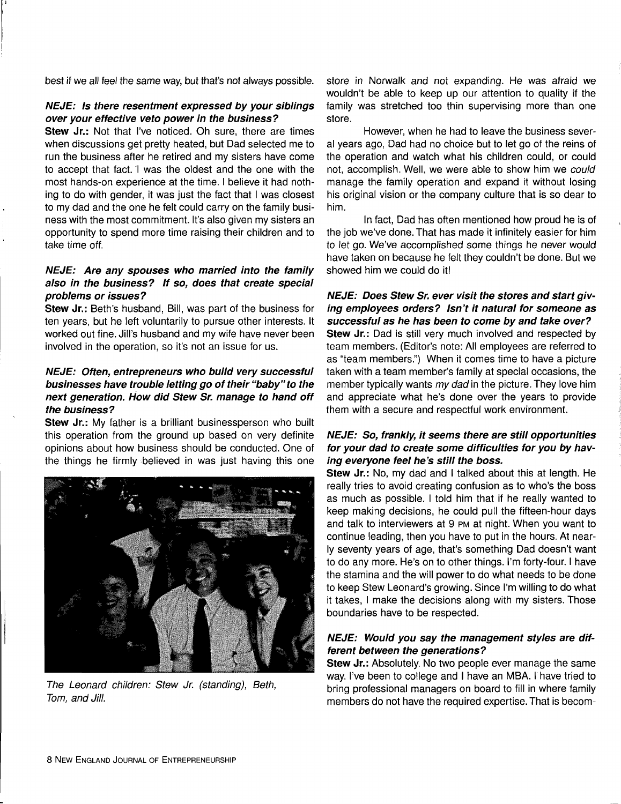best if we all feel the same way, but that's not always possible.

#### **NEJE: Is there resentment expressed by your siblings over your effective veto power in the business?**

**Stew Jr.:** Not that I've noticed. Oh sure, there are times when discussions get pretty heated, but Dad selected me to run the business after he retired and my sisters have come to accept that fact. I was the oldest and the one with the most hands-on experience at the time. I believe it had nothing to do with gender, it was just the fact that I was closest to my dad and the one he felt could carry on the family business with the most commitment. It's also given my sisters an opportunity to spend more time raising their children and to take time off.

# **NEJE: Are any spouses who married into the family also in the business? If so, does that create special problems or issues?**

**Stew Jr.:** Beth's husband, Bill, was part of the business for ten years, but he left voluntarily to pursue other interests. It worked out fine. Jill's husband and my wife have never been involved in the operation, so it's not an issue for us.

# **NEJE: Often, entrepreneurs who build very successful businesses have trouble letting go of their "baby" to the next generation. How did Stew Sr. manage to hand off the business?**

Stew Jr.: My father is a brilliant businessperson who built this operation from the ground up based on very definite opinions about how business should be conducted. One of the things he firmly believed in was just having this one



**The Leonard children: Stew Jr. (standing), Beth, Tom, and Jill.** 

store in Norwalk and not expanding. He was afraid we wouldn't be able to keep up our attention to quality if the family was stretched too thin supervising more than one store.

However, when he had to leave the business several years ago, Dad had no choice but to let go of the reins of the operation and watch what his children could, or could not, accomplish. Well, we were able to show him we could manage the family operation and expand it without losing his original vision or the company culture that is so dear to him.

In fact, Dad has often mentioned how proud he is of the job we've done. That has made it infinitely easier for him to let go. We've accomplished some things he never would have taken on because he felt they couldn't be done. But we showed him we could do it!

#### **NEJE: Does Stew Sr. ever visit the stores and start giving employees orders? Isn't it natural for someone as successful as he has been to come by and take over?**

**Stew Jr.:** Dad is still very much involved and respected by team members. (Editor's note: All employees are referred to as "team members.") When it comes time to have a picture taken with a team member's family at special occasions, the member typically wants my dad in the picture. They love him and appreciate what he's done over the years to provide them with a secure and respectful work environment.

# **NEJE: So, frankly, it seems there are still opportunities for your dad to create some difficulties for you by having everyone feel he's still the boss.**

**Stew Jr.:** No, my dad and I talked about this at length. He really tries to avoid creating confusion as to who's the boss as much as possible. I told him that if he really wanted to keep making decisions, he could pull the fifteen-hour days and talk to interviewers at 9 PM at night. When you want to continue leading, then you have to put in the hours. At nearly seventy years of age, that's something Dad doesn't want to do any more. He's on to other things. I'm forty-four. I have the stamina and the will power to do what needs to be done to keep Stew Leonard's growing. Since I'm willing to do what it takes, I make the decisions along with my sisters. Those boundaries have to be respected.

# **NEJE: Would you say the management styles are different between the generations?**

**Stew Jr.:** Absolutely. No two people ever manage the same way. I've been to college and I have an MBA. I have tried to bring professional managers on board to fill in where family members do not have the required expertise. That is becom-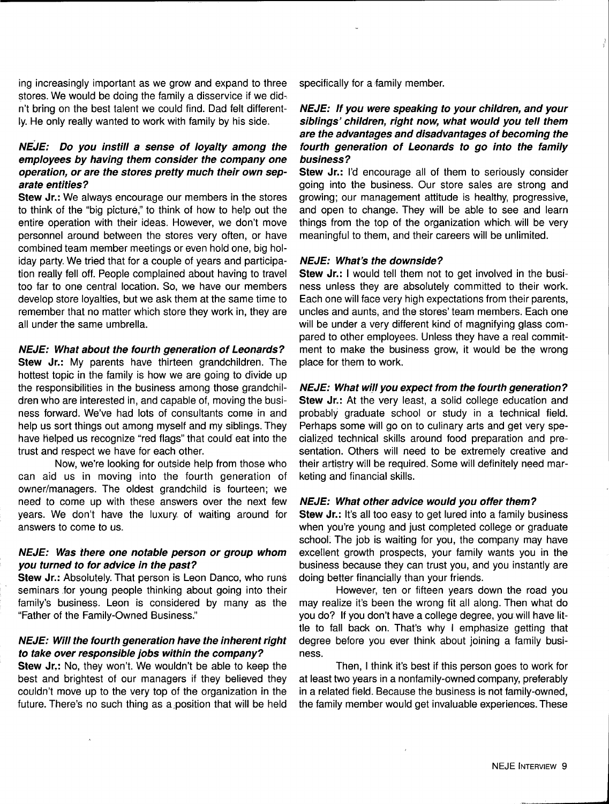ing increasingly important as we grow and expand to three stores. We would be doing the family a disservice if we didn't bring on the best talent we could find. Dad felt differently. He only really wanted to work with family by his side.

# **NEJE: Do you instill a sense of loyalty among the employees by having them consider the company one operation, or are the stores pretty much their own separate entities?**

**Stew Jr.:** We always encourage our members in the stores to think of the "big picture," to think of how to help out the entire operation with their ideas. However, we don't move personnel around between the stores very often, or have combined team member meetings or even hold one, big holiday party. We tried that for a couple of years and participation really fell off. People complained about having to travel too far to one central location. So, we have our members develop store loyalties, but we ask them at the same time to remember that no matter which store they work in, they are all under the same umbrella.

# **NEJE: What about the fourth generation of Leonards?**

**Stew Jr.:** My parents have thirteen grandchildren. The hottest topic in the family is how we are going to divide up the responsibilities in the business among those grandchildren who are interested in, and capable of, moving the business forward. We've had lots of consultants come in and help us sort things out among myself and my siblings. They have helped us recognize "red flags" that could eat into the trust and respect we have for each other.

Now, we're looking for outside help from those who can aid us in moving into the fourth generation of owner/managers. The oldest grandchild is fourteen; we need to come up with these answers over the next few years. We don't have the luxury of waiting around for answers to come to us.

#### **NEJE: Was there one notable person or group whom you turned to for advice in the past?**

**Stew Jr.:** Absolutely. That person is Leon Danco, who runs seminars for young people thinking about going into their family's business. Leon is considered by many as the "Father of the Family-Owned Business."

#### **NEJE: Will the fourth generation have the inherent right to take over responsible jobs within the company?**

**Stew Jr.:** No, they won't. We wouldn't be able to keep the best and brightest of our managers if they believed they couldn't move up to the very top of the organization in the future. There's no such thing as a,position that will be held specifically for a family member.

# **NEJE: If you were speaking to your children, and your siblings' children, right now, what would you tell them are the advantages and disadvantages of becoming the fourth generation of Leonards to go into the family business?**

**Stew Jr.:** I'd encourage all of them to seriously consider going into the business. Our store sales are strong and growing; our management attitude is healthy, progressive, and open to change. They will be able to see and learn things from the top of the organization which, will be very meaningful to them, and their careers will be unlimited.

#### **NEJE: What's the downside?**

**Stew Jr.:** I would tell them not to get involved in the business unless they are absolutely committed to their work. Each one will face very high expectations from their parents, uncles and aunts, and the stores' team members. Each one will be under a very different kind of magnifying glass compared to other employees. Unless they have a real commitment to make the business grow, it would be the wrong place for them to work.

#### **NEJE: What will you expect from the fourth generation?**

**Stew Jr.:** At the very least, a solid college education and probably graduate school or study in a technical field. Perhaps some will go on to culinary arts and get very specialized technical skills around food preparation and presentation. Others will need to be extremely creative and their artistry will be required. Some will definitely need marketing and financial skills.

#### **NEJE: What other advice would you offer them?**

**Stew Jr.:** It's all too easy to get lured into a family business when you're young and just completed college or graduate school: The job is waiting for you, the company may have excellent growth prospects, your family wants you in the business because they can trust you, and you instantly are doing better financially than your friends.

However, ten or fifteen years down the road you may realize it's been the wrong fit all along. Then what do you do? If you don't have a college degree, you will have little to fall back on. That's why I emphasize getting that degree before you ever think about joining a family business.

Then, I think it's best if this person goes to work for at least two years in a nonfamily-owned company, preferably in a related field. Because the business is not family-owned, the family member would get invaluable experiences. These